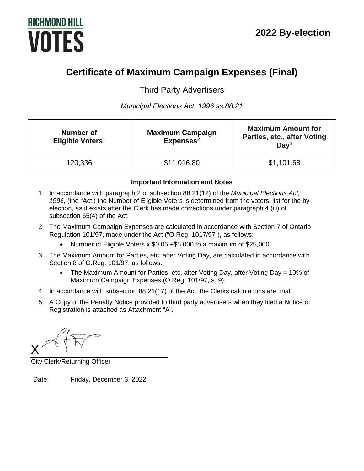# **RICHMOND HILL VOTES**

# **Certificate of Maximum Campaign Expenses (Final)**

Third Party Advertisers

*Municipal Elections Act, 1996 ss.88.21*

| Number of<br>Eligible Voters <sup>1</sup> | <b>Maximum Campaign</b><br>Express <sup>2</sup> | <b>Maximum Amount for</b><br>Parties, etc., after Voting<br>Day <sup>3</sup> |
|-------------------------------------------|-------------------------------------------------|------------------------------------------------------------------------------|
| 120,336                                   | \$11,016.80                                     | \$1,101.68                                                                   |

# **Important Information and Notes**

- 1. In accordance with paragraph 2 of subsection 88.21(12) of the *Municipal Elections Act, 1996*, (the "Act') the Number of Eligible Voters is determined from the voters' list for the byelection, as it exists after the Clerk has made corrections under paragraph 4 (iii) of subsection 65(4) of the Act.
- 2. The Maximum Campaign Expenses are calculated in accordance with Section 7 of Ontario Regulation 101/97, made under the Act ("O.Reg. 1017/97"), as follows:
	- Number of Eligible Voters x \$0.05 +\$5,000 to a maximum of \$25,000
- 3. The Maximum Amount for Parties, etc. after Voting Day, are calculated in accordance with Section 8 of O.Reg. 101/97, as follows:
	- The Maximum Amount for Parties, etc. after Voting Day, after Voting Day = 10% of Maximum Campaign Expenses (O.Reg. 101/97, s. 9).
- 4. In accordance with subsection 88.21(17) of the Act, the Clerks calculations are final.
- 5. A Copy of the Penalty Notice provided to third party advertisers when they filed a Notice of Registration is attached as Attachment "A".

X

City Clerk/Returning Officer

Date: Friday, December 3, 2022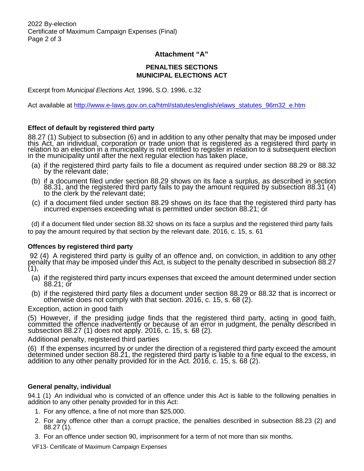# **Attachment "A"**

# **PENALTIES SECTIONS MUNICIPAL ELECTIONS ACT**

Excerpt from *Municipal Elections Act,* 1996, S.O. 1996, c.32

Act available at http://www.e-laws.gov.on.ca/html/statutes/english/elaws\_statutes\_96m32\_e.htm

#### **Effect of default by registered third party**

88.27 (1) Subject to subsection (6) and in addition to any other penalty that may be imposed under this Act, an individual, corporation or trade union that is registered as a registered third party in relation to an election in a municipality is not entitled to register in relation to a subsequent election in the municipality until after the next regular election has taken place,

- (a) if the registered third party fails to file a document as required under section 88.29 or 88.32 by the relevant date;
- (b) if a document filed under section 88.29 shows on its face a surplus, as described in section 88.31, and the registered third party fails to pay the amount required by subsection 88.31 (4) to the clerk by the relevant date;
- (c) if a document filed under section 88.29 shows on its face that the registered third party has incurred expenses exceeding what is permitted under section 88.21; or

 (d) if a document filed under section 88.32 shows on its face a surplus and the registered third party fails to pay the amount required by that section by the relevant date. 2016, c. 15, s. 61

#### **Offences by registered third party**

92 (4) A registered third party is guilty of an offence and, on conviction, in addition to any other penalty that may be imposed under this Act, is subject to the penalty described in subsection 88.27  $(1),$ 

- (a) if the registered third party incurs expenses that exceed the amount determined under section 88.21; or
- (b) if the registered third party files a document under section 88.29 or 88.32 that is incorrect or otherwise does not comply with that section. 2016, c. 15, s. 68 (2).

#### Exception, action in good faith

(5) However, if the presiding judge finds that the registered third party, acting in good faith,<br>committed the offence inadvertently or because of an error in judgment, the penalty described in subsection 88.27 (1) does not apply. 2016, c. 15, s. 68 (2).

#### Additional penalty, registered third parties

(6) If the expenses incurred by or under the direction of a registered third party exceed the amount determined under section 88.21, the registered third party is liable to a fine equal to the excess, in addition to any other penalty provided for in the Act. 2016, c. 15, s. 68 (2).

### **General penalty, individual**

94.1 (1) An individual who is convicted of an offence under this Act is liable to the following penalties in addition to any other penalty provided for in this Act:

- 1. For any offence, a fine of not more than \$25,000.
- 2. For any offence other than a corrupt practice, the penalties described in subsection 88.23 (2) and 88.27 (1).
- 3. For an offence under section 90, imprisonment for a term of not more than six months.

VF13- Certificate of Maximum Campaign Expenses